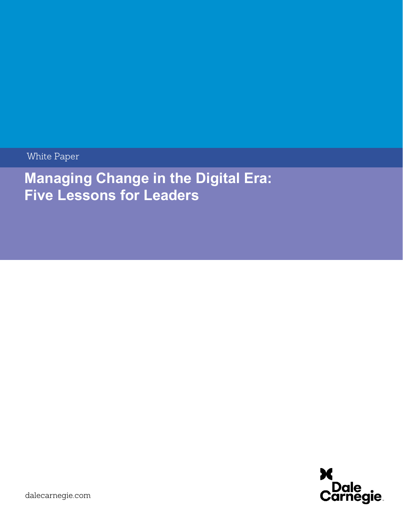White Paper

**Managing Change in the Digital Era: Five Lessons for Leaders**

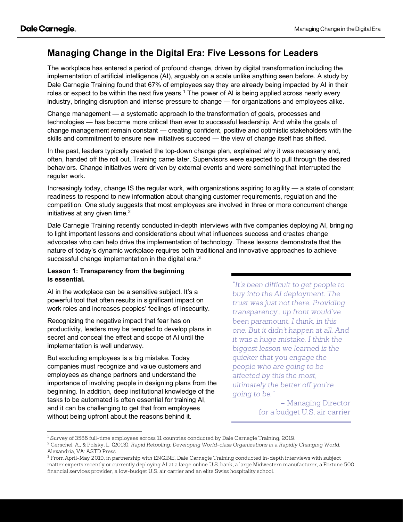# **Managing Change in the Digital Era: Five Lessons for Leaders**

The workplace has entered a period of profound change, driven by digital transformation including the implementation of artificial intelligence (AI), arguably on a scale unlike anything seen before. A study by Dale Carnegie Training found that 67% of employees say they are already being impacted by AI in their roles or expect to be within the next five years.<sup>[1](#page-1-0)</sup> The power of AI is being applied across nearly every industry, bringing disruption and intense pressure to change — for organizations and employees alike.

Change management — a systematic approach to the transformation of goals, processes and technologies — has become more critical than ever to successful leadership. And while the goals of change management remain constant — creating confident, positive and optimistic stakeholders with the skills and commitment to ensure new initiatives succeed — the view of change itself has shifted.

In the past, leaders typically created the top-down change plan, explained why it was necessary and, often, handed off the roll out. Training came later. Supervisors were expected to pull through the desired behaviors. Change initiatives were driven by external events and were something that interrupted the regular work.

Increasingly today, change IS the regular work, with organizations aspiring to agility — a state of constant readiness to respond to new information about changing customer requirements, regulation and the competition. One study suggests that most employees are involved in three or more concurrent change initiatives at any given time. $2$ 

Dale Carnegie Training recently conducted in-depth interviews with five companies deploying AI, bringing to light important lessons and considerations about what influences success and creates change advocates who can help drive the implementation of technology. These lessons demonstrate that the nature of today's dynamic workplace requires both traditional and innovative approaches to achieve successful change implementation in the digital era. $^3$  $^3$ 

# **Lesson 1: Transparency from the beginning is essential.**

AI in the workplace can be a sensitive subject. It's a powerful tool that often results in significant impact on work roles and increases peoples' feelings of insecurity.

Recognizing the negative impact that fear has on productivity, leaders may be tempted to develop plans in secret and conceal the effect and scope of AI until the implementation is well underway.

But excluding employees is a big mistake. Today companies must recognize and value customers and employees as change partners and understand the importance of involving people in designing plans from the beginning. In addition, deep institutional knowledge of the tasks to be automated is often essential for training AI, and it can be challenging to get that from employees without being upfront about the reasons behind it.

*"It's been difficult to get people to buy into the AI deployment. The trust was just not there. Providing transparency… up front would've been paramount, I think, in this one. But it didn't happen at all. And it was a huge mistake. I think the biggest lesson we learned is the quicker that you engage the people who are going to be affected by this the most, ultimately the better off you're going to be."* 

> – Managing Director for a budget U.S. air carrier

<span id="page-1-0"></span><sup>&</sup>lt;sup>1</sup> Survey of 3586 full-time employees across 11 countries conducted by Dale Carnegie Training, 2019.

<span id="page-1-1"></span><sup>2</sup> Gerschel, A., & Polsky, L. (2013). *Rapid Retooling: Developing World-class Organizations in a Rapidly Changing World*. Alexandria, VA: ASTD Press.

<span id="page-1-2"></span><sup>3</sup> From April-May 2019, in partnership with ENGINE, Dale Carnegie Training conducted in-depth interviews with subject matter experts recently or currently deploying AI at a large online U.S. bank, a large Midwestern manufacturer, a Fortune 500 financial services provider, a low-budget U.S. air carrier and an elite Swiss hospitality school.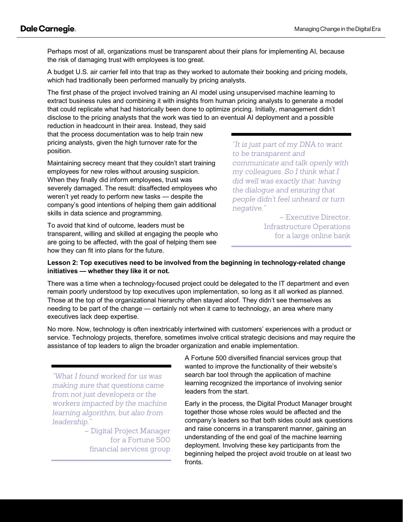Perhaps most of all, organizations must be transparent about their plans for implementing AI, because the risk of damaging trust with employees is too great.

A budget U.S. air carrier fell into that trap as they worked to automate their booking and pricing models, which had traditionally been performed manually by pricing analysts.

The first phase of the project involved training an AI model using unsupervised machine learning to extract business rules and combining it with insights from human pricing analysts to generate a model that could replicate what had historically been done to optimize pricing. Initially, management didn't disclose to the pricing analysts that the work was tied to an eventual AI deployment and a possible

reduction in headcount in their area. Instead, they said that the process documentation was to help train new pricing analysts, given the high turnover rate for the position.

Maintaining secrecy meant that they couldn't start training employees for new roles without arousing suspicion. When they finally did inform employees, trust was severely damaged. The result: disaffected employees who weren't yet ready to perform new tasks — despite the company's good intentions of helping them gain additional skills in data science and programming.

To avoid that kind of outcome, leaders must be transparent, willing and skilled at engaging the people who are going to be affected, with the goal of helping them see how they can fit into plans for the future.

*"It is just part of my DNA to want to be transparent and communicate and talk openly with my colleagues. So I think what I did well was exactly that: having the dialogue and ensuring that people didn't feel unheard or turn negative."* 

> – Executive Director, Infrastructure Operations for a large online bank

# **Lesson 2: Top executives need to be involved from the beginning in technology-related change initiatives — whether they like it or not.**

There was a time when a technology-focused project could be delegated to the IT department and even remain poorly understood by top executives upon implementation, so long as it all worked as planned. Those at the top of the organizational hierarchy often stayed aloof. They didn't see themselves as needing to be part of the change — certainly not when it came to technology, an area where many executives lack deep expertise.

No more. Now, technology is often inextricably intertwined with customers' experiences with a product or service. Technology projects, therefore, sometimes involve critical strategic decisions and may require the assistance of top leaders to align the broader organization and enable implementation.

*"What I found worked for us was making sure that questions came from not just developers or the workers impacted by the machine learning algorithm, but also from leadership."* 

> – Digital Project Manager for a Fortune 500 financial services group

A Fortune 500 diversified financial services group that wanted to improve the functionality of their website's search bar tool through the application of machine learning recognized the importance of involving senior leaders from the start.

Early in the process, the Digital Product Manager brought together those whose roles would be affected and the company's leaders so that both sides could ask questions and raise concerns in a transparent manner, gaining an understanding of the end goal of the machine learning deployment. Involving these key participants from the beginning helped the project avoid trouble on at least two fronts.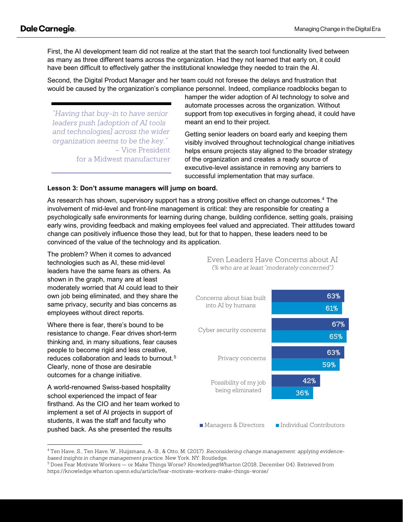First, the AI development team did not realize at the start that the search tool functionality lived between as many as three different teams across the organization. Had they not learned that early on, it could have been difficult to effectively gather the institutional knowledge they needed to train the AI.

Second, the Digital Product Manager and her team could not foresee the delays and frustration that would be caused by the organization's compliance personnel. Indeed, compliance roadblocks began to

*"Having that buy-in to have senior leaders push [adoption of AI tools and technologies] across the wider organization seems to be the key."*  – Vice President for a Midwest manufacturer hamper the wider adoption of AI technology to solve and automate processes across the organization. Without support from top executives in forging ahead, it could have meant an end to their project.

Getting senior leaders on board early and keeping them visibly involved throughout technological change initiatives helps ensure projects stay aligned to the broader strategy of the organization and creates a ready source of executive-level assistance in removing any barriers to successful implementation that may surface.

### **Lesson 3: Don't assume managers will jump on board.**

As research has shown, supervisory support has a strong positive effect on change outcomes.<sup>4</sup> The involvement of mid-level and front-line management is critical: they are responsible for creating a psychologically safe environments for learning during change, building confidence, setting goals, praising early wins, providing feedback and making employees feel valued and appreciated. Their attitudes toward change can positively influence those they lead, but for that to happen, these leaders need to be convinced of the value of the technology and its application.

The problem? When it comes to advanced technologies such as AI, these mid-level leaders have the same fears as others. As shown in the graph, many are at least moderately worried that AI could lead to their own job being eliminated, and they share the same privacy, security and bias concerns as employees without direct reports.

Where there is fear, there's bound to be resistance to change. Fear drives short-term thinking and, in many situations, fear causes people to become rigid and less creative, reduces collaboration and leads to burnout. [5](#page-3-1) Clearly, none of those are desirable outcomes for a change initiative.

A world-renowned Swiss-based hospitality school experienced the impact of fear firsthand. As the CIO and her team worked to implement a set of AI projects in support of students, it was the staff and faculty who pushed back. As she presented the results

Even Leaders Have Concerns about AI *(% who are at least "moderately concerned")*



<span id="page-3-0"></span><sup>4</sup> Ten Have, S., Ten Have, W., Huijsmans, A.-B., & Otto, M. (2017). *Reconsidering change management: applying evidencebased insights in change management practice*. New York, NY: Routledge.

<span id="page-3-1"></span><sup>5</sup> Does Fear Motivate Workers — or Make Things Worse? *Knowledge@Wharton* (2018, December 04). Retrieved from https://knowledge.wharton.upenn.edu/article/fear-motivate-workers-make-things-worse/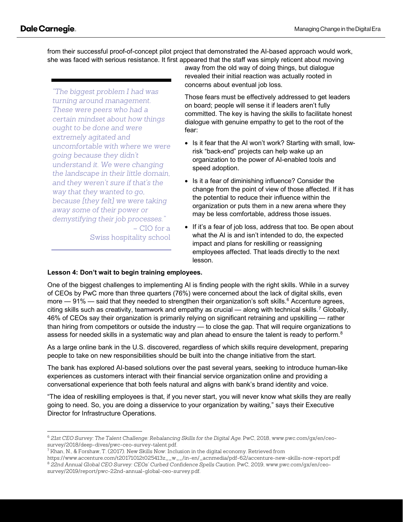from their successful proof-of-concept pilot project that demonstrated the AI-based approach would work, she was faced with serious resistance. It first appeared that the staff was simply reticent about moving

*"The biggest problem I had was turning around management. These were peers who had a certain mindset about how things ought to be done and were extremely agitated and uncomfortable with where we were going because they didn't understand it. We were changing the landscape in their little domain, and they weren't sure if that's the way that they wanted to go, because [they felt] we were taking away some of their power or demystifying their job processes."*

– CIO for a Swiss hospitality school away from the old way of doing things, but dialogue revealed their initial reaction was actually rooted in concerns about eventual job loss.

Those fears must be effectively addressed to get leaders on board; people will sense it if leaders aren't fully committed. The key is having the skills to facilitate honest dialogue with genuine empathy to get to the root of the fear:

- Is it fear that the AI won't work? Starting with small, lowrisk "back-end" projects can help wake up an organization to the power of AI-enabled tools and speed adoption.
- Is it a fear of diminishing influence? Consider the change from the point of view of those affected. If it has the potential to reduce their influence within the organization or puts them in a new arena where they may be less comfortable, address those issues.
- If it's a fear of job loss, address that too. Be open about what the AI is and isn't intended to do, the expected impact and plans for reskilling or reassigning employees affected. That leads directly to the next lesson.

# **Lesson 4: Don't wait to begin training employees.**

One of the biggest challenges to implementing AI is finding people with the right skills. While in a survey of CEOs by PwC more than three quarters (76%) were concerned about the lack of digital skills, even more  $-91\%$  — said that they needed to strengthen their organization's soft skills.<sup>[6](#page-4-0)</sup> Accenture agrees, citing skills such as creativity, teamwork and empathy as crucial — along with technical skills.<sup>[7](#page-4-1)</sup> Globally, 46% of CEOs say their organization is primarily relying on significant retraining and upskilling — rather than hiring from competitors or outside the industry — to close the gap. That will require organizations to assess for needed skills in a systematic way and plan ahead to ensure the talent is ready to perform.<sup>[8](#page-4-2)</sup>

As a large online bank in the U.S. discovered, regardless of which skills require development, preparing people to take on new responsibilities should be built into the change initiative from the start.

The bank has explored AI-based solutions over the past several years, seeking to introduce human-like experiences as customers interact with their financial service organization online and providing a conversational experience that both feels natural and aligns with bank's brand identity and voice.

"The idea of reskilling employees is that, if you never start, you will never know what skills they are really going to need. So, you are doing a disservice to your organization by waiting," says their Executive Director for Infrastructure Operations.

<span id="page-4-0"></span><sup>6</sup> *21st CEO Survey: The Talent Challenge: Rebalancing Skills for the Digital Age*. PwC, 2018, www.pwc.com/gx/en/ceosurvey/2018/deep-dives/pwc-ceo-survey-talent.pdf.

<span id="page-4-1"></span> $^7$  Khan, N., & Forshaw, T. (2017). New Skills Now: Inclusion in the digital economy. Retrieved from

<span id="page-4-2"></span>https://www.accenture.com/t20171012t025413z\_\_w\_\_/in-en/\_acnmedia/pdf-62/accenture-new-skills-now-report.pdf <sup>8</sup> *22nd Annual Global CEO Survey: CEOs' Curbed Confidence Spells Caution*. PwC, 2019, www.pwc.com/gx/en/ceosurvey/2019/report/pwc-22nd-annual-global-ceo-survey.pdf.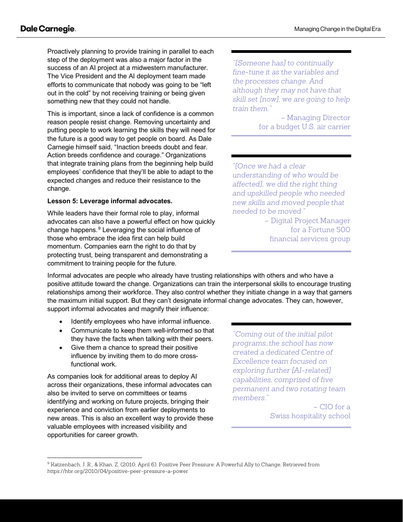Proactively planning to provide training in parallel to each step of the deployment was also a major factor in the success of an AI project at a midwestern manufacturer. The Vice President and the AI deployment team made efforts to communicate that nobody was going to be "left out in the cold" by not receiving training or being given something new that they could not handle.

This is important, since a lack of confidence is a common reason people resist change. Removing uncertainty and putting people to work learning the skills they will need for the future is a good way to get people on board. As Dale Carnegie himself said, "Inaction breeds doubt and fear. Action breeds confidence and courage." Organizations that integrate training plans from the beginning help build employees' confidence that they'll be able to adapt to the expected changes and reduce their resistance to the change.

### **Lesson 5: Leverage informal advocates.**

While leaders have their formal role to play, informal advocates can also have a powerful effect on how quickly change happens.<sup>[9](#page-5-0)</sup> Leveraging the social influence of those who embrace the idea first can help build momentum. Companies earn the right to do that by protecting trust, being transparent and demonstrating a commitment to training people for the future.

*"[Someone has] to continually fine-tune it as the variables and the processes change. And although they may not have that skill set [now], we are going to help train them."*

> – Managing Director for a budget U.S. air carrier

*"[Once we had a clear understanding of who would be affected], we did the right thing and upskilled people who needed new skills and moved people that needed to be moved."*

> – Digital Project Manager for a Fortune 500 financial services group

Informal advocates are people who already have trusting relationships with others and who have a positive attitude toward the change. Organizations can train the interpersonal skills to encourage trusting relationships among their workforce. They also control whether they initiate change in a way that garners the maximum initial support. But they can't designate informal change advocates. They can, however, support informal advocates and magnify their influence:

- Identify employees who have informal influence.
- Communicate to keep them well-informed so that they have the facts when talking with their peers.
- Give them a chance to spread their positive influence by inviting them to do more crossfunctional work.

As companies look for additional areas to deploy AI across their organizations, these informal advocates can also be invited to serve on committees or teams identifying and working on future projects, bringing their experience and conviction from earlier deployments to new areas. This is also an excellent way to provide these valuable employees with increased visibility and opportunities for career growth.

*"Coming out of the initial pilot programs…the school has now created a dedicated Centre of Excellence team focused on exploring further [AI-related] capabilities, comprised of five permanent and two rotating team members."*

> – CIO for a Swiss hospitality school

<span id="page-5-0"></span><sup>9</sup> Katzenbach, J. R., & Khan, Z. (2010, April 6). Positive Peer Pressure: A Powerful Ally to Change. Retrieved from https://hbr.org/2010/04/positive-peer-pressure-a-power